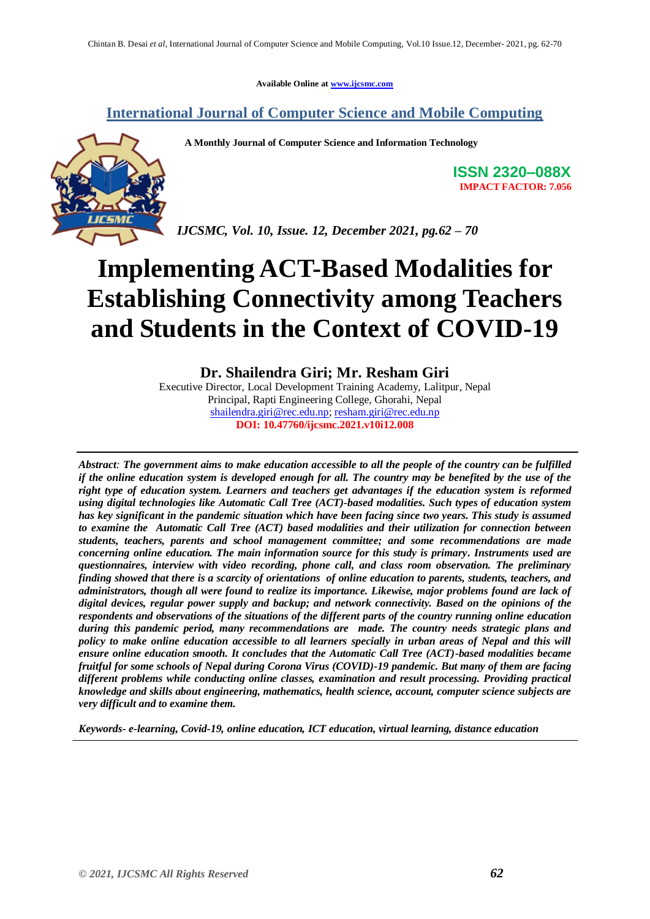**Available Online at [www.ijcsmc.com](http://www.ijcsmc.com/)**

# **International Journal of Computer Science and Mobile Computing**

 **A Monthly Journal of Computer Science and Information Technology**



**ISSN 2320–088X IMPACT FACTOR: 7.056**

*IJCSMC, Vol. 10, Issue. 12, December 2021, pg.62 – 70*

# **Implementing ACT-Based Modalities for Establishing Connectivity among Teachers and Students in the Context of COVID-19**

**Dr. Shailendra Giri; Mr. Resham Giri**

Executive Director, Local Development Training Academy, Lalitpur, Nepal Principal, Rapti Engineering College, Ghorahi, Nepal [shailendra.giri@rec.edu.np;](mailto:shailendra.giri@rec.edu.np) [resham.giri@rec.edu.np](mailto:resham.giri@rec.edu.np) **DOI: 10.47760/ijcsmc.2021.v10i12.008**

*Abstract: The government aims to make education accessible to all the people of the country can be fulfilled if the online education system is developed enough for all. The country may be benefited by the use of the right type of education system. Learners and teachers get advantages if the education system is reformed using digital technologies like Automatic Call Tree (ACT)-based modalities. Such types of education system has key significant in the pandemic situation which have been facing since two years. This study is assumed to examine the Automatic Call Tree (ACT) based modalities and their utilization for connection between students, teachers, parents and school management committee; and some recommendations are made concerning online education. The main information source for this study is primary. Instruments used are questionnaires, interview with video recording, phone call, and class room observation. The preliminary finding showed that there is a scarcity of orientations of online education to parents, students, teachers, and administrators, though all were found to realize its importance. Likewise, major problems found are lack of digital devices, regular power supply and backup; and network connectivity. Based on the opinions of the respondents and observations of the situations of the different parts of the country running online education during this pandemic period, many recommendations are made. The country needs strategic plans and policy to make online education accessible to all learners specially in urban areas of Nepal and this will ensure online education smooth. It concludes that the Automatic Call Tree (ACT)-based modalities became fruitful for some schools of Nepal during Corona Virus (COVID)-19 pandemic. But many of them are facing different problems while conducting online classes, examination and result processing. Providing practical knowledge and skills about engineering, mathematics, health science, account, computer science subjects are very difficult and to examine them.* 

*Keywords- e-learning, Covid-19, online education, ICT education, virtual learning, distance education*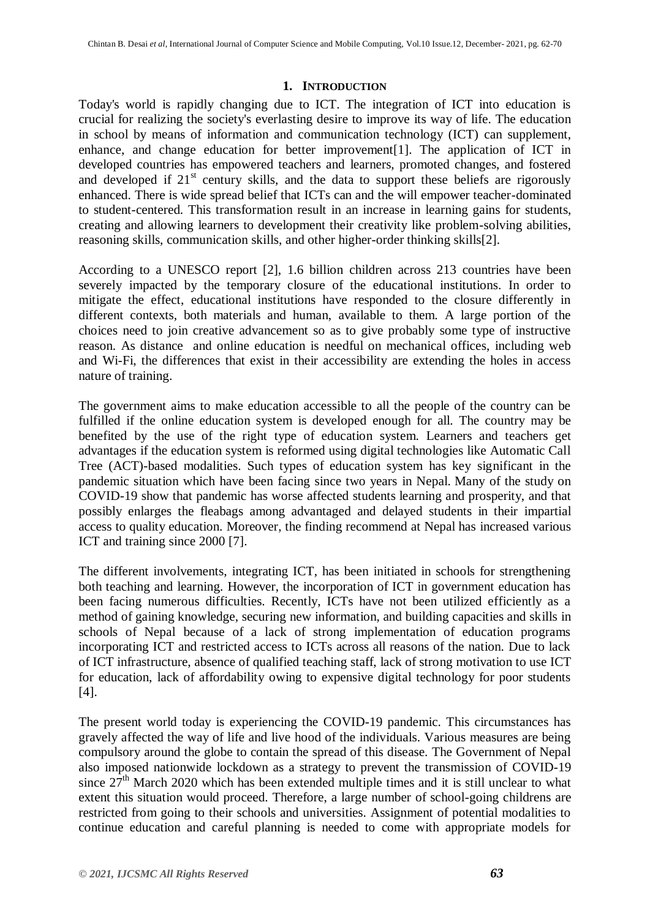#### **1. INTRODUCTION**

Today's world is rapidly changing due to ICT. The integration of ICT into education is crucial for realizing the society's everlasting desire to improve its way of life. The education in school by means of information and communication technology (ICT) can supplement, enhance, and change education for better improvement[1]. The application of ICT in developed countries has empowered teachers and learners, promoted changes, and fostered and developed if  $21<sup>st</sup>$  century skills, and the data to support these beliefs are rigorously enhanced. There is wide spread belief that ICTs can and the will empower teacher-dominated to student-centered. This transformation result in an increase in learning gains for students, creating and allowing learners to development their creativity like problem-solving abilities, reasoning skills, communication skills, and other higher-order thinking skills[2].

According to a UNESCO report [2], 1.6 billion children across 213 countries have been severely impacted by the temporary closure of the educational institutions. In order to mitigate the effect, educational institutions have responded to the closure differently in different contexts, both materials and human, available to them. A large portion of the choices need to join creative advancement so as to give probably some type of instructive reason. As distance and online education is needful on mechanical offices, including web and Wi-Fi, the differences that exist in their accessibility are extending the holes in access nature of training.

The government aims to make education accessible to all the people of the country can be fulfilled if the online education system is developed enough for all. The country may be benefited by the use of the right type of education system. Learners and teachers get advantages if the education system is reformed using digital technologies like Automatic Call Tree (ACT)-based modalities. Such types of education system has key significant in the pandemic situation which have been facing since two years in Nepal. Many of the study on COVID-19 show that pandemic has worse affected students learning and prosperity, and that possibly enlarges the fleabags among advantaged and delayed students in their impartial access to quality education. Moreover, the finding recommend at Nepal has increased various ICT and training since 2000 [7].

The different involvements, integrating ICT, has been initiated in schools for strengthening both teaching and learning. However, the incorporation of ICT in government education has been facing numerous difficulties. Recently, ICTs have not been utilized efficiently as a method of gaining knowledge, securing new information, and building capacities and skills in schools of Nepal because of a lack of strong implementation of education programs incorporating ICT and restricted access to ICTs across all reasons of the nation. Due to lack of ICT infrastructure, absence of qualified teaching staff, lack of strong motivation to use ICT for education, lack of affordability owing to expensive digital technology for poor students [4].

The present world today is experiencing the COVID-19 pandemic. This circumstances has gravely affected the way of life and live hood of the individuals. Various measures are being compulsory around the globe to contain the spread of this disease. The Government of Nepal also imposed nationwide lockdown as a strategy to prevent the transmission of COVID-19 since  $27<sup>th</sup>$  March 2020 which has been extended multiple times and it is still unclear to what extent this situation would proceed. Therefore, a large number of school-going childrens are restricted from going to their schools and universities. Assignment of potential modalities to continue education and careful planning is needed to come with appropriate models for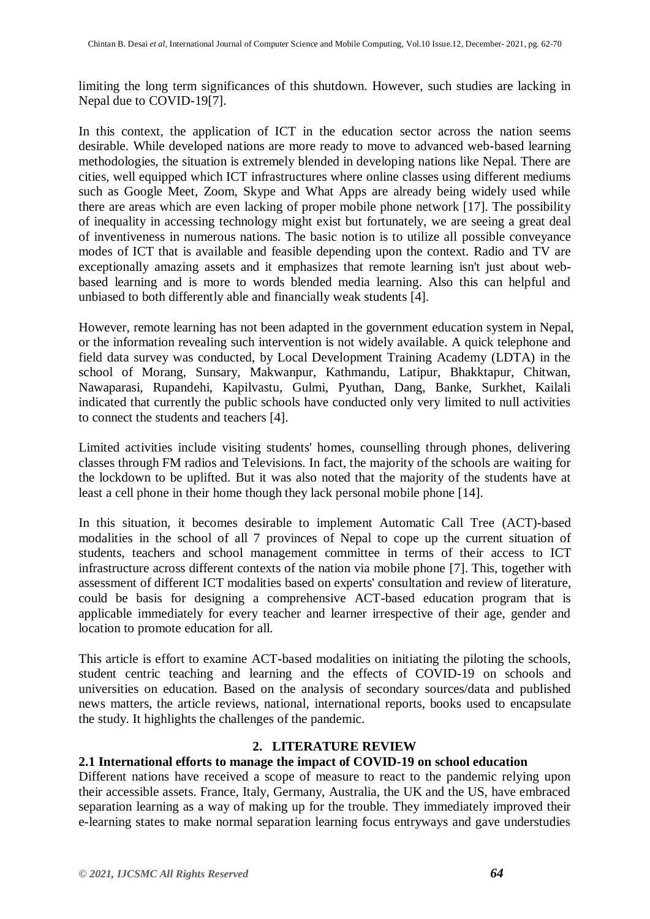limiting the long term significances of this shutdown. However, such studies are lacking in Nepal due to COVID-19[7].

In this context, the application of ICT in the education sector across the nation seems desirable. While developed nations are more ready to move to advanced web-based learning methodologies, the situation is extremely blended in developing nations like Nepal. There are cities, well equipped which ICT infrastructures where online classes using different mediums such as Google Meet, Zoom, Skype and What Apps are already being widely used while there are areas which are even lacking of proper mobile phone network [17]. The possibility of inequality in accessing technology might exist but fortunately, we are seeing a great deal of inventiveness in numerous nations. The basic notion is to utilize all possible conveyance modes of ICT that is available and feasible depending upon the context. Radio and TV are exceptionally amazing assets and it emphasizes that remote learning isn't just about webbased learning and is more to words blended media learning. Also this can helpful and unbiased to both differently able and financially weak students [4].

However, remote learning has not been adapted in the government education system in Nepal, or the information revealing such intervention is not widely available. A quick telephone and field data survey was conducted, by Local Development Training Academy (LDTA) in the school of Morang, Sunsary, Makwanpur, Kathmandu, Latipur, Bhakktapur, Chitwan, Nawaparasi, Rupandehi, Kapilvastu, Gulmi, Pyuthan, Dang, Banke, Surkhet, Kailali indicated that currently the public schools have conducted only very limited to null activities to connect the students and teachers [4].

Limited activities include visiting students' homes, counselling through phones, delivering classes through FM radios and Televisions. In fact, the majority of the schools are waiting for the lockdown to be uplifted. But it was also noted that the majority of the students have at least a cell phone in their home though they lack personal mobile phone [14].

In this situation, it becomes desirable to implement Automatic Call Tree (ACT)-based modalities in the school of all 7 provinces of Nepal to cope up the current situation of students, teachers and school management committee in terms of their access to ICT infrastructure across different contexts of the nation via mobile phone [7]. This, together with assessment of different ICT modalities based on experts' consultation and review of literature, could be basis for designing a comprehensive ACT-based education program that is applicable immediately for every teacher and learner irrespective of their age, gender and location to promote education for all.

This article is effort to examine ACT-based modalities on initiating the piloting the schools, student centric teaching and learning and the effects of COVID-19 on schools and universities on education. Based on the analysis of secondary sources/data and published news matters, the article reviews, national, international reports, books used to encapsulate the study. It highlights the challenges of the pandemic.

# **2. LITERATURE REVIEW**

# **2.1 International efforts to manage the impact of COVID-19 on school education**

Different nations have received a scope of measure to react to the pandemic relying upon their accessible assets. France, Italy, Germany, Australia, the UK and the US, have embraced separation learning as a way of making up for the trouble. They immediately improved their e-learning states to make normal separation learning focus entryways and gave understudies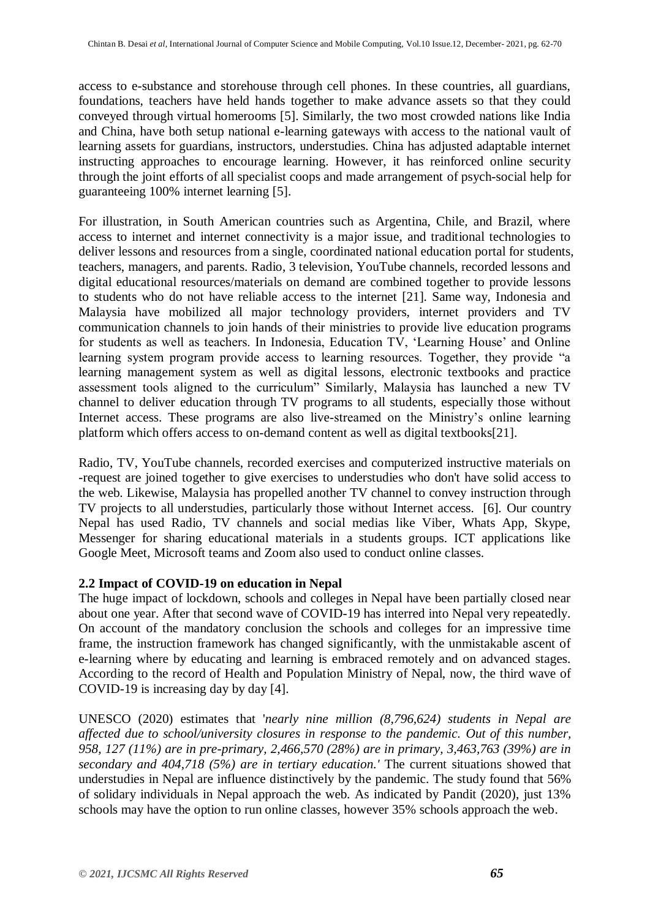access to e-substance and storehouse through cell phones. In these countries, all guardians, foundations, teachers have held hands together to make advance assets so that they could conveyed through virtual homerooms [5]. Similarly, the two most crowded nations like India and China, have both setup national e-learning gateways with access to the national vault of learning assets for guardians, instructors, understudies. China has adjusted adaptable internet instructing approaches to encourage learning. However, it has reinforced online security through the joint efforts of all specialist coops and made arrangement of psych-social help for guaranteeing 100% internet learning [5].

For illustration, in South American countries such as Argentina, Chile, and Brazil, where access to internet and internet connectivity is a major issue, and traditional technologies to deliver lessons and resources from a single, coordinated national education portal for students, teachers, managers, and parents. Radio, 3 television, YouTube channels, recorded lessons and digital educational resources/materials on demand are combined together to provide lessons to students who do not have reliable access to the internet [21]. Same way, Indonesia and Malaysia have mobilized all major technology providers, internet providers and TV communication channels to join hands of their ministries to provide live education programs for students as well as teachers. In Indonesia, Education TV, 'Learning House' and Online learning system program provide access to learning resources. Together, they provide "a learning management system as well as digital lessons, electronic textbooks and practice assessment tools aligned to the curriculum" Similarly, Malaysia has launched a new TV channel to deliver education through TV programs to all students, especially those without Internet access. These programs are also live-streamed on the Ministry's online learning platform which offers access to on-demand content as well as digital textbooks[21].

Radio, TV, YouTube channels, recorded exercises and computerized instructive materials on -request are joined together to give exercises to understudies who don't have solid access to the web. Likewise, Malaysia has propelled another TV channel to convey instruction through TV projects to all understudies, particularly those without Internet access. [6]. Our country Nepal has used Radio, TV channels and social medias like Viber, Whats App, Skype, Messenger for sharing educational materials in a students groups. ICT applications like Google Meet, Microsoft teams and Zoom also used to conduct online classes.

# **2.2 Impact of COVID-19 on education in Nepal**

The huge impact of lockdown, schools and colleges in Nepal have been partially closed near about one year. After that second wave of COVID-19 has interred into Nepal very repeatedly. On account of the mandatory conclusion the schools and colleges for an impressive time frame, the instruction framework has changed significantly, with the unmistakable ascent of e-learning where by educating and learning is embraced remotely and on advanced stages. According to the record of Health and Population Ministry of Nepal, now, the third wave of COVID-19 is increasing day by day [4].

UNESCO (2020) estimates that '*nearly nine million (8,796,624) students in Nepal are affected due to school/university closures in response to the pandemic. Out of this number, 958, 127 (11%) are in pre-primary, 2,466,570 (28%) are in primary, 3,463,763 (39%) are in secondary and 404,718 (5%) are in tertiary education.'* The current situations showed that understudies in Nepal are influence distinctively by the pandemic. The study found that 56% of solidary individuals in Nepal approach the web. As indicated by Pandit (2020), just 13% schools may have the option to run online classes, however 35% schools approach the web.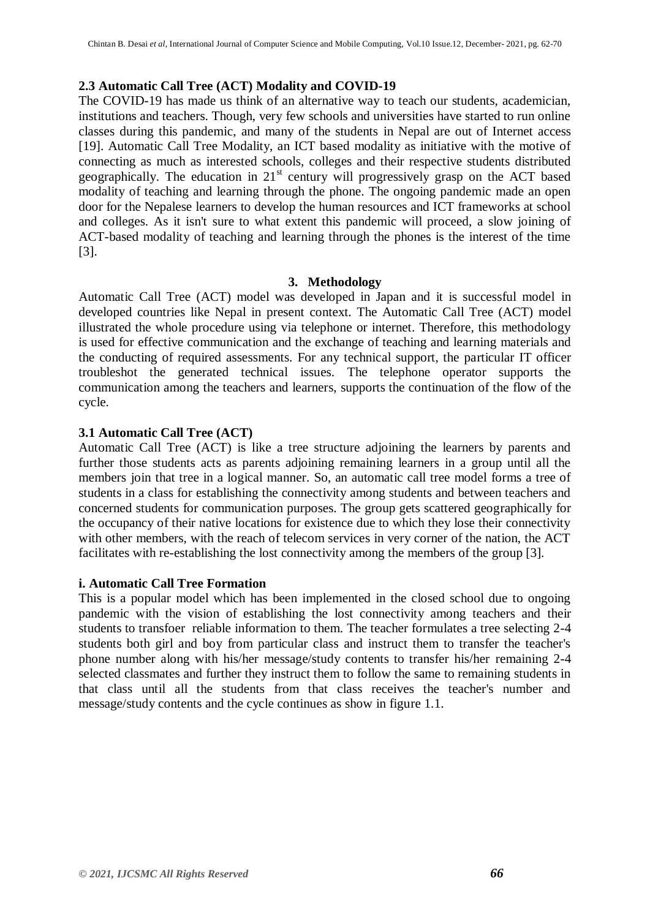#### **2.3 Automatic Call Tree (ACT) Modality and COVID-19**

The COVID-19 has made us think of an alternative way to teach our students, academician, institutions and teachers. Though, very few schools and universities have started to run online classes during this pandemic, and many of the students in Nepal are out of Internet access [19]. Automatic Call Tree Modality, an ICT based modality as initiative with the motive of connecting as much as interested schools, colleges and their respective students distributed geographically. The education in  $21<sup>st</sup>$  century will progressively grasp on the ACT based modality of teaching and learning through the phone. The ongoing pandemic made an open door for the Nepalese learners to develop the human resources and ICT frameworks at school and colleges. As it isn't sure to what extent this pandemic will proceed, a slow joining of ACT-based modality of teaching and learning through the phones is the interest of the time [3].

#### **3. Methodology**

Automatic Call Tree (ACT) model was developed in Japan and it is successful model in developed countries like Nepal in present context. The Automatic Call Tree (ACT) model illustrated the whole procedure using via telephone or internet. Therefore, this methodology is used for effective communication and the exchange of teaching and learning materials and the conducting of required assessments. For any technical support, the particular IT officer troubleshot the generated technical issues. The telephone operator supports the communication among the teachers and learners, supports the continuation of the flow of the cycle.

#### **3.1 Automatic Call Tree (ACT)**

Automatic Call Tree (ACT) is like a tree structure adjoining the learners by parents and further those students acts as parents adjoining remaining learners in a group until all the members join that tree in a logical manner. So, an automatic call tree model forms a tree of students in a class for establishing the connectivity among students and between teachers and concerned students for communication purposes. The group gets scattered geographically for the occupancy of their native locations for existence due to which they lose their connectivity with other members, with the reach of telecom services in very corner of the nation, the ACT facilitates with re-establishing the lost connectivity among the members of the group [3].

#### **i. Automatic Call Tree Formation**

This is a popular model which has been implemented in the closed school due to ongoing pandemic with the vision of establishing the lost connectivity among teachers and their students to transfoer reliable information to them. The teacher formulates a tree selecting 2-4 students both girl and boy from particular class and instruct them to transfer the teacher's phone number along with his/her message/study contents to transfer his/her remaining 2-4 selected classmates and further they instruct them to follow the same to remaining students in that class until all the students from that class receives the teacher's number and message/study contents and the cycle continues as show in figure 1.1.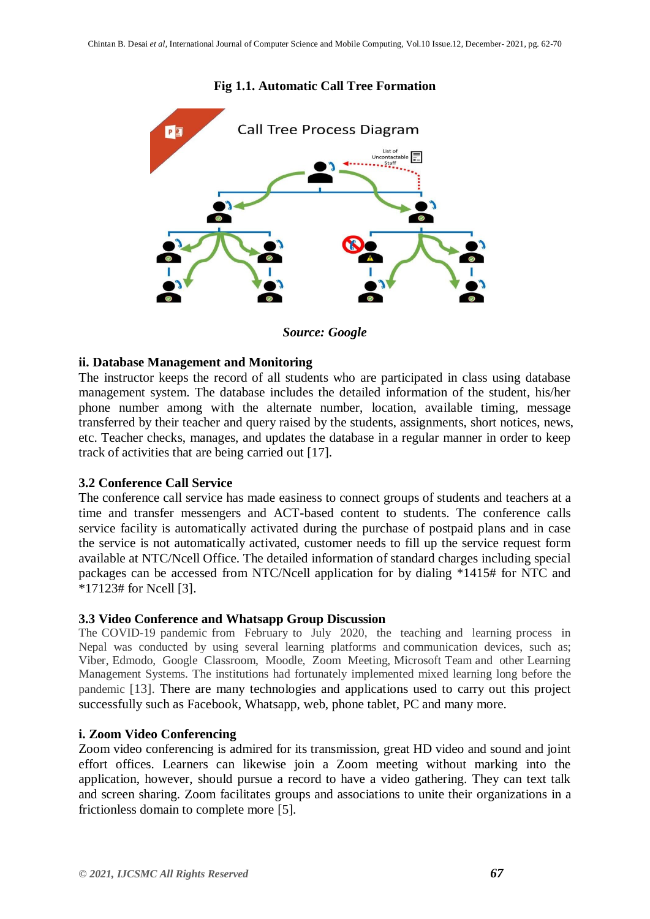

#### **Fig 1.1. Automatic Call Tree Formation**

*Source: Google*

#### **ii. Database Management and Monitoring**

The instructor keeps the record of all students who are participated in class using database management system. The database includes the detailed information of the student, his/her phone number among with the alternate number, location, available timing, message transferred by their teacher and query raised by the students, assignments, short notices, news, etc. Teacher checks, manages, and updates the database in a regular manner in order to keep track of activities that are being carried out [17].

#### **3.2 Conference Call Service**

The conference call service has made easiness to connect groups of students and teachers at a time and transfer messengers and ACT-based content to students. The conference calls service facility is automatically activated during the purchase of postpaid plans and in case the service is not automatically activated, customer needs to fill up the service request form available at NTC/Ncell Office. The detailed information of standard charges including special packages can be accessed from NTC/Ncell application for by dialing \*1415# for NTC and \*17123# for Ncell [3].

#### **3.3 Video Conference and Whatsapp Group Discussion**

The COVID-19 pandemic from February to July 2020, the teaching and learning process in Nepal was conducted by using several learning platforms and communication devices, such as; Viber, Edmodo, Google Classroom, Moodle, Zoom Meeting, Microsoft Team and other Learning Management Systems. The institutions had fortunately implemented mixed learning long before the pandemic [13]. There are many technologies and applications used to carry out this project successfully such as Facebook, Whatsapp, web, phone tablet, PC and many more.

#### **i. Zoom Video Conferencing**

Zoom video conferencing is admired for its transmission, great HD video and sound and joint effort offices. Learners can likewise join a Zoom meeting without marking into the application, however, should pursue a record to have a video gathering. They can text talk and screen sharing. Zoom facilitates groups and associations to unite their organizations in a frictionless domain to complete more [5].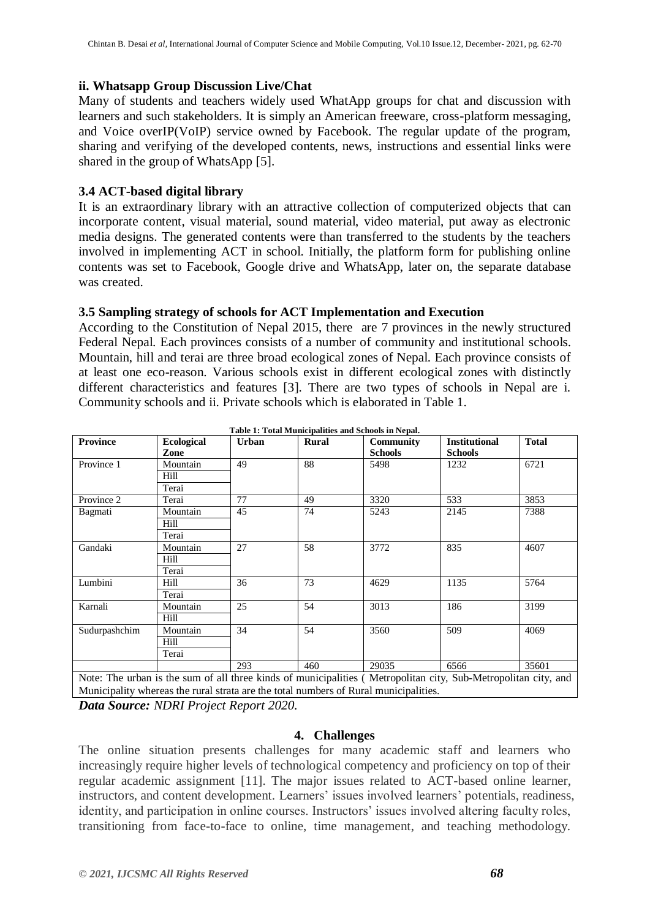#### **ii. Whatsapp Group Discussion Live/Chat**

Many of students and teachers widely used WhatApp groups for chat and discussion with learners and such stakeholders. It is simply an American freeware, cross-platform messaging, and Voice overIP(VoIP) service owned by Facebook. The regular update of the program, sharing and verifying of the developed contents, news, instructions and essential links were shared in the group of WhatsApp [5].

### **3.4 ACT-based digital library**

It is an extraordinary library with an attractive collection of computerized objects that can incorporate content, visual material, sound material, video material, put away as electronic media designs. The generated contents were than transferred to the students by the teachers involved in implementing ACT in school. Initially, the platform form for publishing online contents was set to Facebook, Google drive and WhatsApp, later on, the separate database was created.

#### **3.5 Sampling strategy of schools for ACT Implementation and Execution**

According to the Constitution of Nepal 2015, there are 7 provinces in the newly structured Federal Nepal. Each provinces consists of a number of community and institutional schools. Mountain, hill and terai are three broad ecological zones of Nepal. Each province consists of at least one eco-reason. Various schools exist in different ecological zones with distinctly different characteristics and features [3]. There are two types of schools in Nepal are i. Community schools and ii. Private schools which is elaborated in Table 1.

| <b>Province</b> | <b>Ecological</b> | <b>Urban</b> | Rural | Community      | <b>Institutional</b> | <b>Total</b> |
|-----------------|-------------------|--------------|-------|----------------|----------------------|--------------|
|                 | Zone              |              |       | <b>Schools</b> | <b>Schools</b>       |              |
| Province 1      | Mountain          | 49           | 88    | 5498           | 1232                 | 6721         |
|                 | Hill              |              |       |                |                      |              |
|                 | Terai             |              |       |                |                      |              |
| Province 2      | Terai             | 77           | 49    | 3320           | 533                  | 3853         |
| Bagmati         | Mountain          | 45           | 74    | 5243           | 2145                 | 7388         |
|                 | Hill              |              |       |                |                      |              |
|                 | Terai             |              |       |                |                      |              |
| Gandaki         | Mountain          | 27           | 58    | 3772           | 835                  | 4607         |
|                 | Hill              |              |       |                |                      |              |
|                 | Terai             |              |       |                |                      |              |
| Lumbini         | Hill              | 36           | 73    | 4629           | 1135                 | 5764         |
|                 | Terai             |              |       |                |                      |              |
| Karnali         | Mountain          | 25           | 54    | 3013           | 186                  | 3199         |
|                 | Hill              |              |       |                |                      |              |
| Sudurpashchim   | 34<br>Mountain    |              | 54    | 3560           | 509                  | 4069         |
|                 | Hill              |              |       |                |                      |              |
|                 | Terai             |              |       |                |                      |              |
|                 |                   | 293          | 460   | 29035          | 6566                 | 35601        |

**Table 1: Total Municipalities and Schools in Nepal.**

Note: The urban is the sum of all three kinds of municipalities ( Metropolitan city, Sub-Metropolitan city, and Municipality whereas the rural strata are the total numbers of Rural municipalities.

*Data Source: NDRI Project Report 2020.*

#### **4. Challenges**

The online situation presents challenges for many academic staff and learners who increasingly require higher levels of technological competency and proficiency on top of their regular academic assignment [11]. The major issues related to ACT-based online learner, instructors, and content development. Learners' issues involved learners' potentials, readiness, identity, and participation in online courses. Instructors' issues involved altering faculty roles, transitioning from face-to-face to online, time management, and teaching methodology.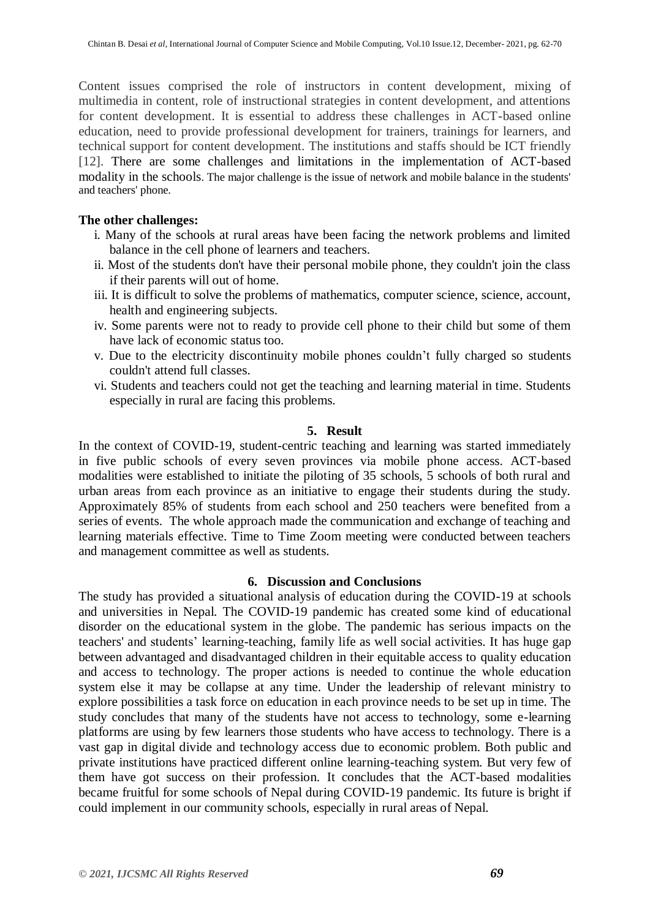Content issues comprised the role of instructors in content development, mixing of multimedia in content, role of instructional strategies in content development, and attentions for content development. It is essential to address these challenges in ACT-based online education, need to provide professional development for trainers, trainings for learners, and technical support for content development. The institutions and staffs should be ICT friendly [12]. There are some challenges and limitations in the implementation of ACT-based modality in the schools. The major challenge is the issue of network and mobile balance in the students' and teachers' phone.

#### **The other challenges:**

- i. Many of the schools at rural areas have been facing the network problems and limited balance in the cell phone of learners and teachers.
- ii. Most of the students don't have their personal mobile phone, they couldn't join the class if their parents will out of home.
- iii. It is difficult to solve the problems of mathematics, computer science, science, account, health and engineering subjects.
- iv. Some parents were not to ready to provide cell phone to their child but some of them have lack of economic status too.
- v. Due to the electricity discontinuity mobile phones couldn"t fully charged so students couldn't attend full classes.
- vi. Students and teachers could not get the teaching and learning material in time. Students especially in rural are facing this problems.

#### **5. Result**

In the context of COVID-19, student-centric teaching and learning was started immediately in five public schools of every seven provinces via mobile phone access. ACT-based modalities were established to initiate the piloting of 35 schools, 5 schools of both rural and urban areas from each province as an initiative to engage their students during the study. Approximately 85% of students from each school and 250 teachers were benefited from a series of events. The whole approach made the communication and exchange of teaching and learning materials effective. Time to Time Zoom meeting were conducted between teachers and management committee as well as students.

#### **6. Discussion and Conclusions**

The study has provided a situational analysis of education during the COVID-19 at schools and universities in Nepal. The COVID-19 pandemic has created some kind of educational disorder on the educational system in the globe. The pandemic has serious impacts on the teachers' and students" learning-teaching, family life as well social activities. It has huge gap between advantaged and disadvantaged children in their equitable access to quality education and access to technology. The proper actions is needed to continue the whole education system else it may be collapse at any time. Under the leadership of relevant ministry to explore possibilities a task force on education in each province needs to be set up in time. The study concludes that many of the students have not access to technology, some e-learning platforms are using by few learners those students who have access to technology. There is a vast gap in digital divide and technology access due to economic problem. Both public and private institutions have practiced different online learning-teaching system. But very few of them have got success on their profession. It concludes that the ACT-based modalities became fruitful for some schools of Nepal during COVID-19 pandemic. Its future is bright if could implement in our community schools, especially in rural areas of Nepal.